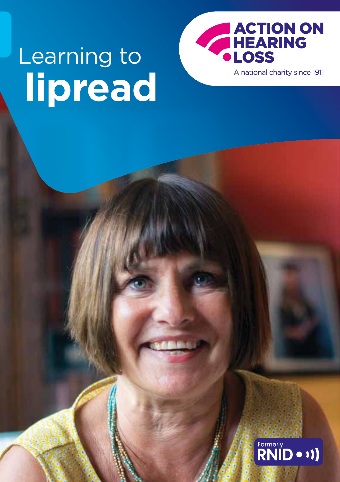# **lipread** Learning to



A national charity since 1911

## Formerly<br>RNID • 11)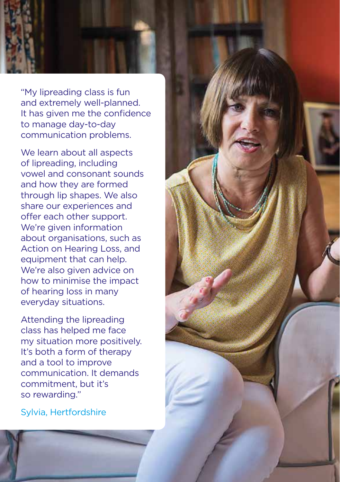"My lipreading class is fun and extremely well-planned. It has given me the confidence to manage day-to-day communication problems.

We learn about all aspects of lipreading, including vowel and consonant sounds and how they are formed through lip shapes. We also share our experiences and offer each other support. We're given information about organisations, such as Action on Hearing Loss, and equipment that can help. We're also given advice on how to minimise the impact of hearing loss in many everyday situations.

Attending the lipreading class has helped me face my situation more positively. It's both a form of therapy and a tool to improve communication. It demands commitment, but it's so rewarding."

Sylvia, Hertfordshire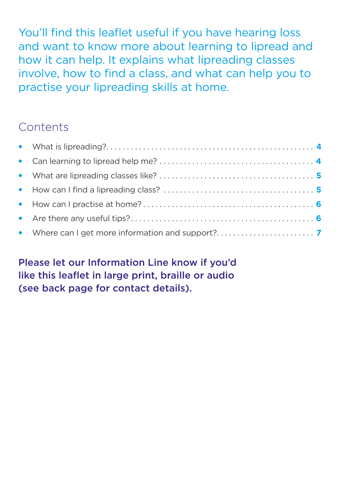You'll find this leaflet useful if you have hearing loss and want to know more about learning to lipread and how it can help. It explains what lipreading classes involve, how to find a class, and what can help you to practise your lipreading skills at home.

#### **Contents**

Please let our Information Line know if you'd like this leaflet in large print, braille or audio ([see back page](#page-7-0) for contact details).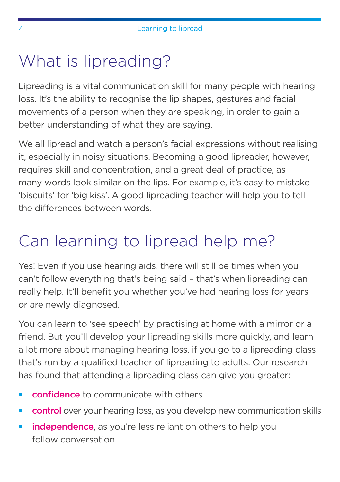## <span id="page-3-0"></span>What is lipreading?

Lipreading is a vital communication skill for many people with hearing loss. It's the ability to recognise the lip shapes, gestures and facial movements of a person when they are speaking, in order to gain a better understanding of what they are saying.

We all lipread and watch a person's facial expressions without realising it, especially in noisy situations. Becoming a good lipreader, however, requires skill and concentration, and a great deal of practice, as many words look similar on the lips. For example, it's easy to mistake 'biscuits' for 'big kiss'. A good lipreading teacher will help you to tell the differences between words.

## Can learning to lipread help me?

Yes! Even if you use hearing aids, there will still be times when you can't follow everything that's being said – that's when lipreading can really help. It'll benefit you whether you've had hearing loss for years or are newly diagnosed.

You can learn to 'see speech' by practising at home with a mirror or a friend. But you'll develop your lipreading skills more quickly, and learn a lot more about managing hearing loss, if you go to a lipreading class that's run by a qualified teacher of lipreading to adults. Our research has found that attending a lipreading class can give you greater:

- confidence to communicate with others
- control over your hearing loss, as you develop new communication skills
- independence, as you're less reliant on others to help you follow conversation.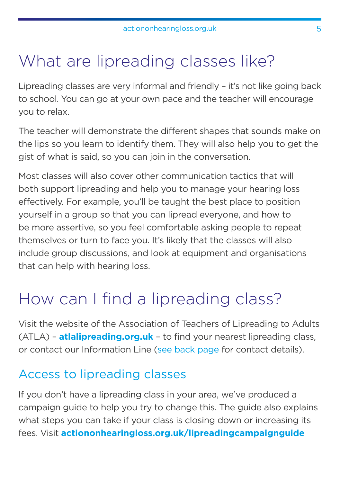## <span id="page-4-0"></span>What are lipreading classes like?

Lipreading classes are very informal and friendly – it's not like going back to school. You can go at your own pace and the teacher will encourage you to relax.

The teacher will demonstrate the different shapes that sounds make on the lips so you learn to identify them. They will also help you to get the gist of what is said, so you can join in the conversation.

Most classes will also cover other communication tactics that will both support lipreading and help you to manage your hearing loss effectively. For example, you'll be taught the best place to position yourself in a group so that you can lipread everyone, and how to be more assertive, so you feel comfortable asking people to repeat themselves or turn to face you. It's likely that the classes will also include group discussions, and look at equipment and organisations that can help with hearing loss.

## How can I find a lipreading class?

Visit the website of the Association of Teachers of Lipreading to Adults (ATLA) – **[atlalipreading.org.uk](http://atlalipreading.org.uk)** – to find your nearest lipreading class, or contact our Information Line [\(see back page](#page-7-0) for contact details).

#### Access to lipreading classes

If you don't have a lipreading class in your area, we've produced a campaign guide to help you try to change this. The guide also explains what steps you can take if your class is closing down or increasing its fees. Visit **[actiononhearingloss.org.uk/lipreadingcampaign](http://actiononhearingloss.org.uk/lipreadingcampaignguide)guide**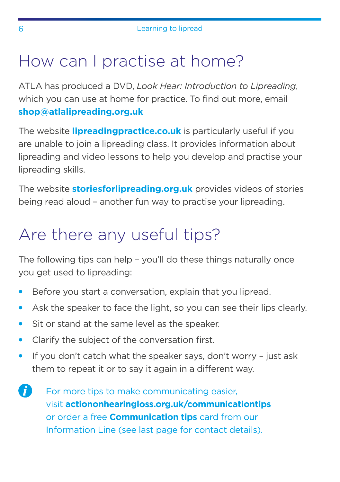## <span id="page-5-0"></span>How can I practise at home?

ATLA has produced a DVD, *Look Hear: Introduction to Lipreading*, which you can use at home for practice. To find out more, email **[shop@atlalipreading.org.uk](mailto:shop%40atlalipreading.org.uk%20?subject=)**

The website **[lipreadingpractice.co.uk](http://lipreadingpractice.co.uk)** is particularly useful if you are unable to join a lipreading class. It provides information about lipreading and video lessons to help you develop and practise your lipreading skills.

The website **[storiesforlipreading.org.uk](http://storiesforlipreading.org.uk)** provides videos of stories being read aloud – another fun way to practise your lipreading.

## Are there any useful tips?

The following tips can help – you'll do these things naturally once you get used to lipreading:

- Before you start a conversation, explain that you lipread.
- Ask the speaker to face the light, so you can see their lips clearly.
- Sit or stand at the same level as the speaker.
- Clarify the subject of the conversation first.
- If you don't catch what the speaker says, don't worry just ask them to repeat it or to say it again in a different way.
- **A** For more tips to make communicating easier, visit **[actiononhearingloss.org.uk/](http://actiononhearingloss.org.uk/how-we-help/information-and-resources/publications/deaf-awareness/communication-tips-for-people-with-hearing-loss/)communicationtips** or order a free **Communication tips** card from our Information Line [\(see last page](#page-7-0) for contact details).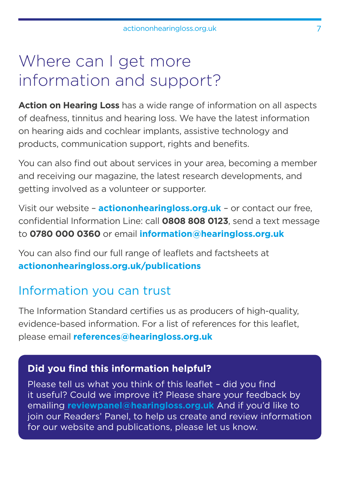### <span id="page-6-0"></span>Where can I get more information and support?

**Action on Hearing Loss** has a wide range of information on all aspects of deafness, tinnitus and hearing loss. We have the latest information on hearing aids and cochlear implants, assistive technology and products, communication support, rights and benefits.

You can also find out about services in your area, becoming a member and receiving our magazine, the latest research developments, and getting involved as a volunteer or supporter.

Visit our website – **[actiononhearingloss.org.uk](http://actiononhearingloss.org.uk)** – or contact our free, confidential Information Line: call **0808 808 0123**, send a text message to **0780 000 0360** or email **[information@hearingloss.org.uk](mailto:information%40hearingloss.org.uk?subject=)**

You can also find our full range of leaflets and factsheets at **[actiononhearingloss.org.uk/publications](http://actiononhearingloss.org.uk/publications)** 

#### Information you can trust

The Information Standard certifies us as producers of high-quality, evidence-based information. For a list of references for this leaflet, please email **[references@hearingloss.org.uk](mailto:references%40hearingloss.org.uk?subject=)**

#### **Did you find this information helpful?**

Please tell us what you think of this leaflet – did you find it useful? Could we improve it? Please share your feedback by emailing **[reviewpanel@hearingloss.org.uk](mailto:reviewpanel%40hearingloss.org.uk?subject=)** And if you'd like to join our Readers' Panel, to help us create and review information for our website and publications, please let us know.